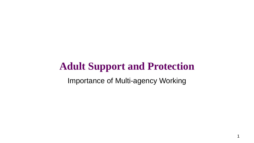# **Adult Support and Protection**

Importance of Multi-agency Working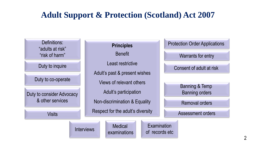## **Adult Support & Protection (Scotland) Act 2007**

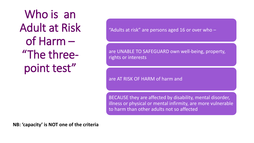Who is an Adult at Risk of Harm – "The threepoint test"

"Adults at risk" are persons aged 16 or over who  $-$ 

are UNABLE TO SAFEGUARD own well-being, property, rights or interests

are AT RISK OF HARM of harm and

BECAUSE they are affected by disability, mental disorder, illness or physical or mental infirmity, are more vulnerable to harm than other adults not so affected

**NB: 'capacity' is NOT one of the criteria**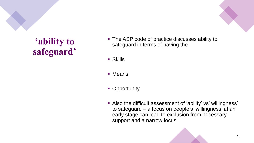# **'ability to safeguard'**

- The ASP code of practice discusses ability to safeguard in terms of having the
- $\blacksquare$  Skills
- Means
- Opportunity
- Also the difficult assessment of 'ability' vs' willingness' to safeguard – a focus on people's 'willingness' at an early stage can lead to exclusion from necessary support and a narrow focus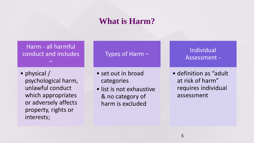### **What is Harm?**

Harm - all harmful conduct and includes –

• physical / psychological harm, unlawful conduct which appropriates or adversely affects property, rights or interests;

#### Types of Harm –

- set out in broad categories
- list is not exhaustive & no category of harm is excluded

### Individual Assessment -

• definition as "adult at risk of harm" requires individual assessment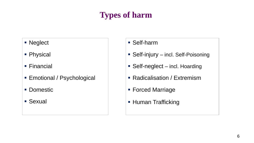## **Types of harm**

- Neglect
- Physical
- Financial
- Emotional / Psychological
- Domestic
- **E** Sexual
- Self-harm
- Self-injury incl. Self-Poisoning
- Self-neglect incl. Hoarding
- Radicalisation / Extremism
- Forced Marriage
- **Human Trafficking**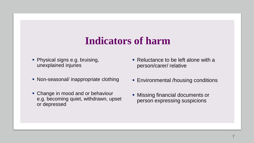# **Indicators of harm**

- **Physical signs e.g. bruising,** unexplained injuries
- Non-seasonal/ inappropriate clothing
- Change in mood and or behaviour e.g. becoming quiet, withdrawn, upset or depressed
- Reluctance to be left alone with a person/carer/ relative
- **Environmental /housing conditions**
- **EXECT:** Missing financial documents or person expressing suspicions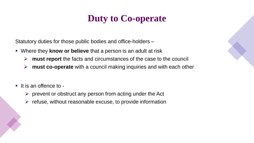# **Duty to Co-operate**

Statutory duties for those public bodies and office-holders –

- Where they **know or believe** that a person is an adult at risk
	- ➢ **must report** the facts and circumstances of the case to the council
	- ➢ **must co-operate** with a council making inquiries and with each other
- It is an offence to -
	- $\triangleright$  prevent or obstruct any person from acting under the Act
	- $\triangleright$  refuse, without reasonable excuse, to provide information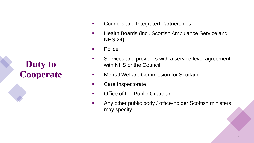**Duty to Cooperate**

- Councils and Integrated Partnerships
- **Health Boards (incl. Scottish Ambulance Service and** NHS 24)
- Police
- Services and providers with a service level agreement with NHS or the Council
- Mental Welfare Commission for Scotland
- Care Inspectorate
- Office of the Public Guardian
- **EXEDENT Any other public body / office-holder Scottish ministers** may specify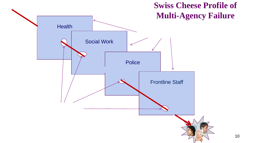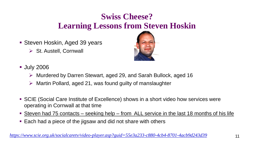## **Swiss Cheese? Learning Lessons from Steven Hoskin**

- Steven Hoskin, Aged 39 years
	- ➢ St. Austell, Cornwall



- **July 2006** 
	- ➢ Murdered by Darren Stewart, aged 29, and Sarah Bullock, aged 16
	- Martin Pollard, aged 21, was found guilty of manslaughter
- SCIE (Social Care Institute of Excellence) shows in a short video how services were operating in Cornwall at that time
- **Example 12 and 14 Steven had 75 contacts seeking help from ALL service in the last 18 months of his life**
- Each had a piece of the jigsaw and did not share with others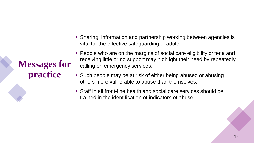**Messages for practice**

- Sharing information and partnership working between agencies is vital for the effective safeguarding of adults.
- People who are on the margins of social care eligibility criteria and receiving little or no support may highlight their need by repeatedly calling on emergency services.
- Such people may be at risk of either being abused or abusing others more vulnerable to abuse than themselves.
- Staff in all front-line health and social care services should be trained in the identification of indicators of abuse.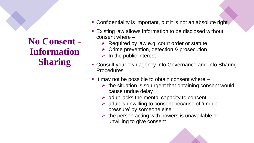**No Consent - Information Sharing**

- Confidentiality is important, but it is not an absolute right
- Existing law allows information to be disclosed without consent where –
	- $\triangleright$  Required by law e.g. court order or statute
	- ➢ Crime prevention, detection & prosecution
	- $\triangleright$  In the public interest
- Consult your own agency Info Governance and Info Sharing Procedures
- It may not be possible to obtain consent where
	- $\triangleright$  the situation is so urgent that obtaining consent would cause undue delay
	- $\triangleright$  adult lacks the mental capacity to consent
	- $\triangleright$  adult is unwilling to consent because of 'undue pressure' by someone else
	- $\triangleright$  the person acting with powers is unavailable or unwilling to give consent

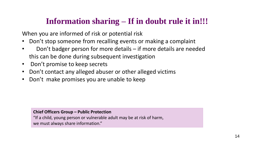## **Information sharing – If in doubt rule it in!!!**

When you are informed of risk or potential risk

- Don't stop someone from recalling events or making a complaint
- Don't badger person for more details if more details are needed this can be done during subsequent investigation
- Don't promise to keep secrets
- Don't contact any alleged abuser or other alleged victims
- Don't make promises you are unable to keep

**Chief Officers Group – Public Protection**

"If a child, young person or vulnerable adult may be at risk of harm, we must always share information."